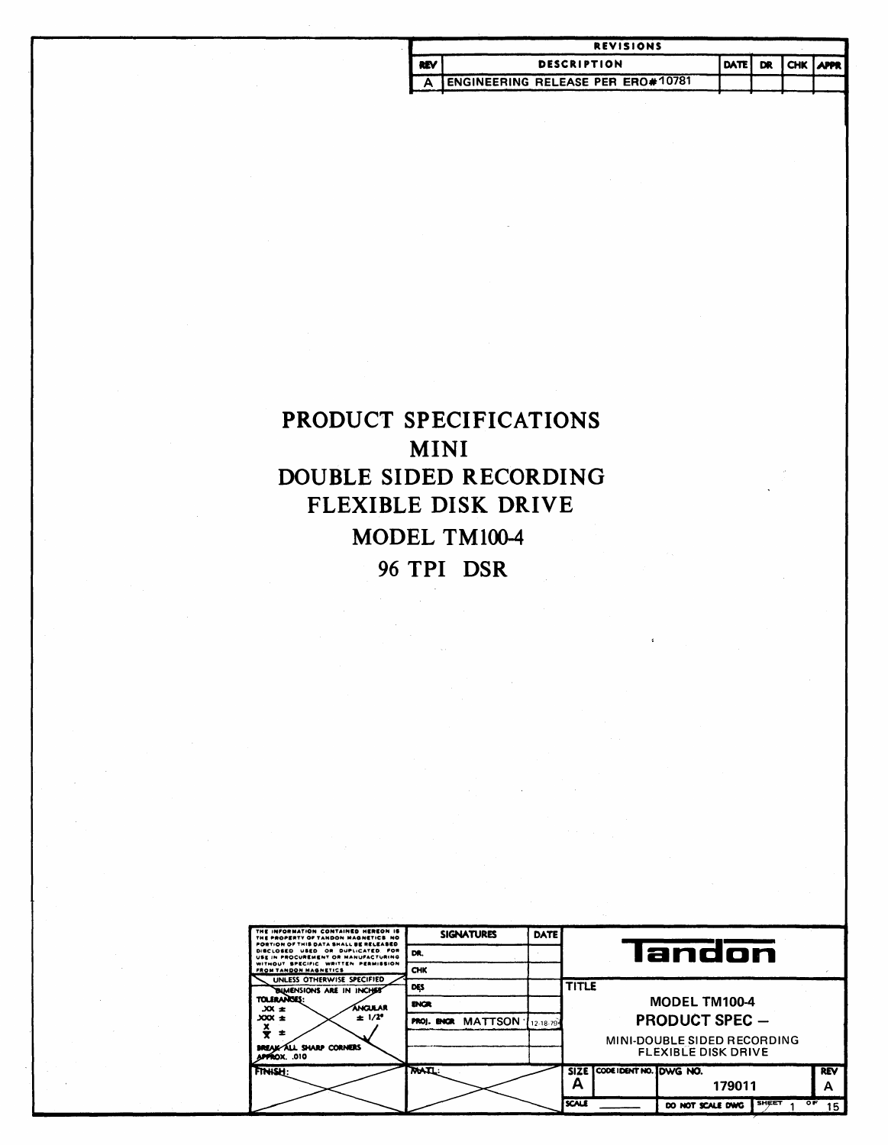|            | <b>REVISIONS</b>                         |  |  |  |                  |  |  |  |  |
|------------|------------------------------------------|--|--|--|------------------|--|--|--|--|
| <b>REV</b> | <b>DESCRIPTION</b>                       |  |  |  | DATE DR CHK APPR |  |  |  |  |
|            | <b>ENGINEERING RELEASE PER ERO#10781</b> |  |  |  |                  |  |  |  |  |

# PRODUCT SPECIFICATIONS **MINI** DOUBLE SIDED RECORDING FLEXIBLE DISK DRIVE MODEL TM100-4 96 TPI DSR

| THE INFORMATION CONTAINED HEREON IS<br>THE PROPERTY OF TANDON MAGNETICS NO                                         | <b>SIGNATURES</b>  | <b>DATE</b> |              |                             |                                                           |            |
|--------------------------------------------------------------------------------------------------------------------|--------------------|-------------|--------------|-----------------------------|-----------------------------------------------------------|------------|
| PORTION OF THIS DATA SHALL BE RELEASED<br>DISCLOSED USED OR DUPLICATED. FOR<br>USE IN PROCUREMENT OR MANUFACTURING | DR.                |             |              |                             | landon                                                    |            |
| WITHOUT SPECIFIC WRITTEN PERMISSION<br>FROM TANDON MAGNETICS                                                       | CHK                |             |              |                             |                                                           |            |
| UNLESS OTHERWISE SPECIFIED<br><b>BUMENSIONS ARE IN INCHEST</b>                                                     | DES                |             | <b>TITLE</b> |                             |                                                           |            |
| <b>TOLERANGES:</b><br>áncular<br>$3x \pm$                                                                          | <b>ENGR</b>        |             |              |                             | <b>MODEL TM100-4</b>                                      |            |
| $± 1/2^{\circ}$<br>$300x +$                                                                                        | PROJ. ENGR MATTSON | 12-18-79-   |              |                             | <b>PRODUCT SPEC -</b>                                     |            |
| ÷<br><b>BREAK-ALL SHARP CORNERS</b><br><b>APPROX. .010</b>                                                         |                    |             |              |                             | MINI-DOUBLE SIDED RECORDING<br><b>FLEXIBLE DISK DRIVE</b> |            |
| FINISH:                                                                                                            | <b>MAIL:</b>       |             |              | SIZE CODE IDENT NO. DWG NO. |                                                           | <b>REV</b> |
|                                                                                                                    |                    |             | А            |                             | 179011                                                    | А          |
|                                                                                                                    |                    |             | <b>SCALE</b> |                             | <b>SHEET</b><br>ᅊ<br>DO NOT SCALE DWG                     | 15         |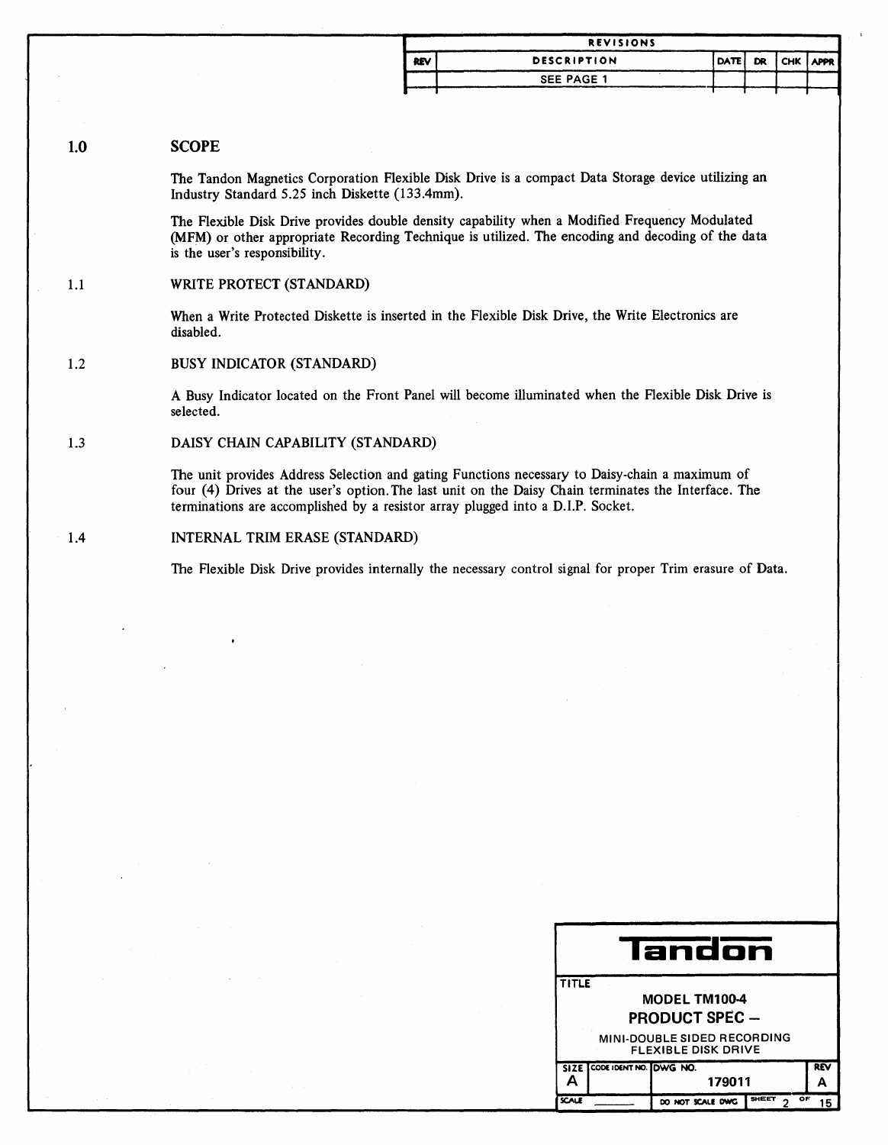| <b>REVISIONS</b> |                    |  |  |  |                  |  |  |  |
|------------------|--------------------|--|--|--|------------------|--|--|--|
| <b>REV</b>       | <b>DESCRIPTION</b> |  |  |  | DATE DR CHK APPR |  |  |  |
|                  | <b>SEE PAGE 1</b>  |  |  |  |                  |  |  |  |

### 1.0 **SCOPE**

The Tandon Magnetics Corporation Flexible Disk Drive is a compact Data Storage device utilizing an Industry Standard 5.25 inch Diskette (133.4mm).

The Flexible Disk Drive provides double density capability when a Modified Frequency Modulated (MFM) or other appropriate Recording Technique is utilized. The encoding and decoding of the data is the user's responsibility.

### 1.1 WRITE PROTECT (STANDARD)

When a Write Protected Diskette is inserted in the Flexible Disk Drive, the Write Electronics are disabled.

### 1.2 BUSY INDICATOR (STANDARD)

A Busy Indicator located on the Front Panel will become illuminated when the Flexible Disk Drive is selected.

1.3 DAISY CHAIN CAPABILITY (STANDARD)

> The unit provides Address Selection and gating Functions necessary to Daisy-chain a maximum of four (4) Drives at the user's option. The last unit on the Daisy Chain terminates the Interface. The terminations are accomplished by a resistor array plugged into a D.I.P. Socket.

### 1.4 INTERNAL TRIM ERASE (STANDARD)

The Flexible Disk Drive provides internally the necessary control signal for proper Trim erasure of Data.

|              | landon                  |                                                           |             |    |  |  |
|--------------|-------------------------|-----------------------------------------------------------|-------------|----|--|--|
| <b>TITLE</b> |                         |                                                           |             |    |  |  |
|              |                         | MODEL TM100-4                                             |             |    |  |  |
|              |                         | <b>PRODUCT SPEC -</b>                                     |             |    |  |  |
|              |                         | MINI-DOUBLE SIDED RECORDING<br><b>FLEXIBLE DISK DRIVE</b> |             |    |  |  |
| SIZE I       | CODE IDENT NO. DUVG NO. |                                                           |             | RÑ |  |  |
| 179011       |                         |                                                           |             |    |  |  |
| <b>SCALE</b> |                         | DO NOT SCALE DWG                                          | SHEET<br>OF |    |  |  |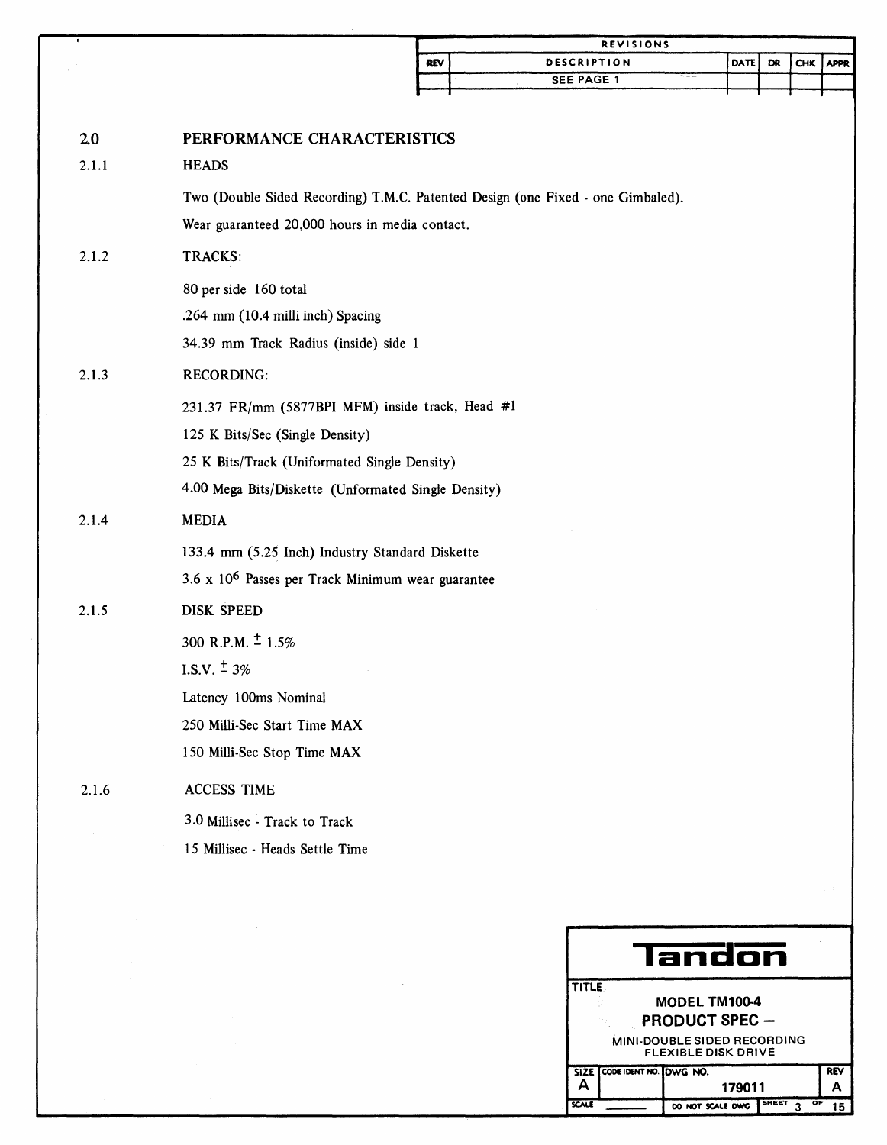| <b>REVISIONS</b> |                    |                  |  |  |  |  |  |
|------------------|--------------------|------------------|--|--|--|--|--|
| <b>REV</b>       | <b>DESCRIPTION</b> | DATE DR CHK APPR |  |  |  |  |  |
|                  | SEE PAGE 1<br>. .  |                  |  |  |  |  |  |
|                  |                    |                  |  |  |  |  |  |

| 2.0   | PERFORMANCE CHARACTERISTICS                                                     |
|-------|---------------------------------------------------------------------------------|
| 2.1.1 | <b>HEADS</b>                                                                    |
|       | Two (Double Sided Recording) T.M.C. Patented Design (one Fixed - one Gimbaled). |
|       | Wear guaranteed 20,000 hours in media contact.                                  |
| 2.1.2 | TRACKS:                                                                         |
|       | 80 per side 160 total                                                           |
|       | .264 mm (10.4 milli inch) Spacing                                               |
|       | 34.39 mm Track Radius (inside) side 1                                           |
| 2.1.3 | <b>RECORDING:</b>                                                               |
|       | 231.37 FR/mm (5877BPI MFM) inside track, Head #1                                |
|       | 125 K Bits/Sec (Single Density)                                                 |
|       | 25 K Bits/Track (Uniformated Single Density)                                    |
|       | 4.00 Mega Bits/Diskette (Unformated Single Density)                             |
| 2.1.4 | <b>MEDIA</b>                                                                    |
|       | 133.4 mm (5.25 Inch) Industry Standard Diskette                                 |
|       | 3.6 x 10 <sup>6</sup> Passes per Track Minimum wear guarantee                   |
| 2.1.5 | <b>DISK SPEED</b>                                                               |
|       | 300 R.P.M. $\pm$ 1.5%                                                           |
|       | I.S.V. $\pm$ 3%                                                                 |
|       | Latency 100ms Nominal                                                           |
|       | 250 Milli-Sec Start Time MAX                                                    |
|       | 150 Milli-Sec Stop Time MAX                                                     |
| 2.1.6 | <b>ACCESS TIME</b>                                                              |
|       | 3.0 Millisec - Track to Track                                                   |
|       | 15 Millisec - Heads Settle Time                                                 |
|       |                                                                                 |

|                                        | landon                                                                                                                     |                  |                         |          |  |  |
|----------------------------------------|----------------------------------------------------------------------------------------------------------------------------|------------------|-------------------------|----------|--|--|
|                                        | <b>TITLE</b><br><b>MODEL TM100-4</b><br><b>PRODUCT SPEC -</b><br>MINI-DOUBLE SIDED RECORDING<br><b>FLEXIBLE DISK DRIVE</b> |                  |                         |          |  |  |
| SIZE CODE IDENT NO. LOWG NO.<br>179011 |                                                                                                                            |                  |                         | REV<br>А |  |  |
| <b>SCALE</b>                           |                                                                                                                            | DO NOT SCALE DWG | <b>SHEET</b><br>Ö٣<br>ົ | 15       |  |  |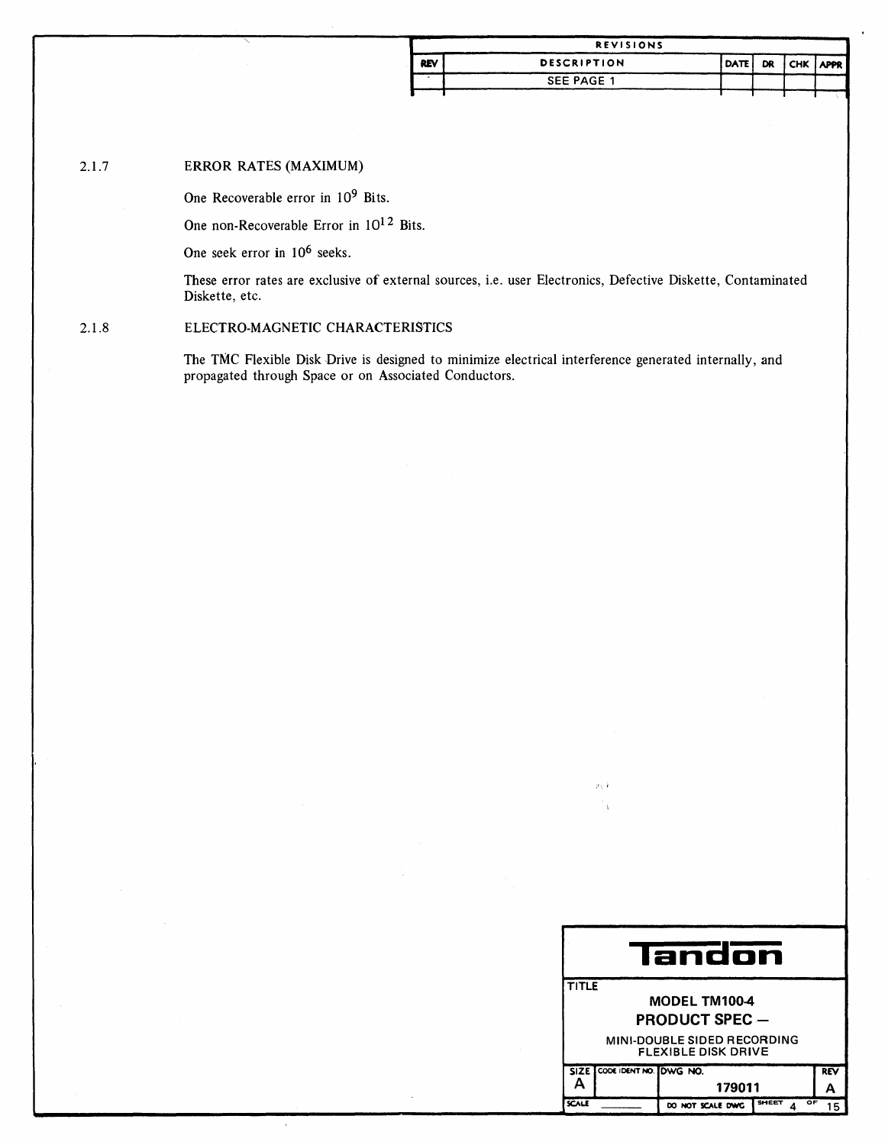| <b>REVISIONS</b> |                    |                  |  |  |  |  |  |
|------------------|--------------------|------------------|--|--|--|--|--|
| <b>REV</b>       | <b>DESCRIPTION</b> | DATE DR CHK APPR |  |  |  |  |  |
|                  | <b>SEE PAGE 1</b>  |                  |  |  |  |  |  |
|                  |                    |                  |  |  |  |  |  |

### **ERROR RATES (MAXIMUM)**  $2.1.7$

One Recoverable error in 10<sup>9</sup> Bits.

One non-Recoverable Error in  $10^{12}$  Bits.

One seek error in 10<sup>6</sup> seeks.

These error rates are exclusive of external sources, i.e. user Electronics, Defective Diskette, Contaminated Diskette, etc.

### ELECTRO-MAGNETIC CHARACTERISTICS  $2.1.8$

The TMC Flexible Disk Drive is designed to minimize electrical interference generated internally, and propagated through Space or on Associated Conductors.

|                             | Iandon                                                    |                       |                    |     |  |  |
|-----------------------------|-----------------------------------------------------------|-----------------------|--------------------|-----|--|--|
| TITLE                       |                                                           |                       |                    |     |  |  |
|                             |                                                           | <b>MODEL TM100-4</b>  |                    |     |  |  |
|                             |                                                           | <b>PRODUCT SPEC -</b> |                    |     |  |  |
|                             | MINI-DOUBLE SIDED RECORDING<br><b>FLEXIBLE DISK DRIVE</b> |                       |                    |     |  |  |
| SIZE CODE IDENT NO. DWG NO. |                                                           |                       |                    | REV |  |  |
| А<br>179011                 |                                                           | А                     |                    |     |  |  |
| SCALE                       |                                                           | DO NOT SCALE DWG      | <b>SHEET</b><br>ОF |     |  |  |

gi, 4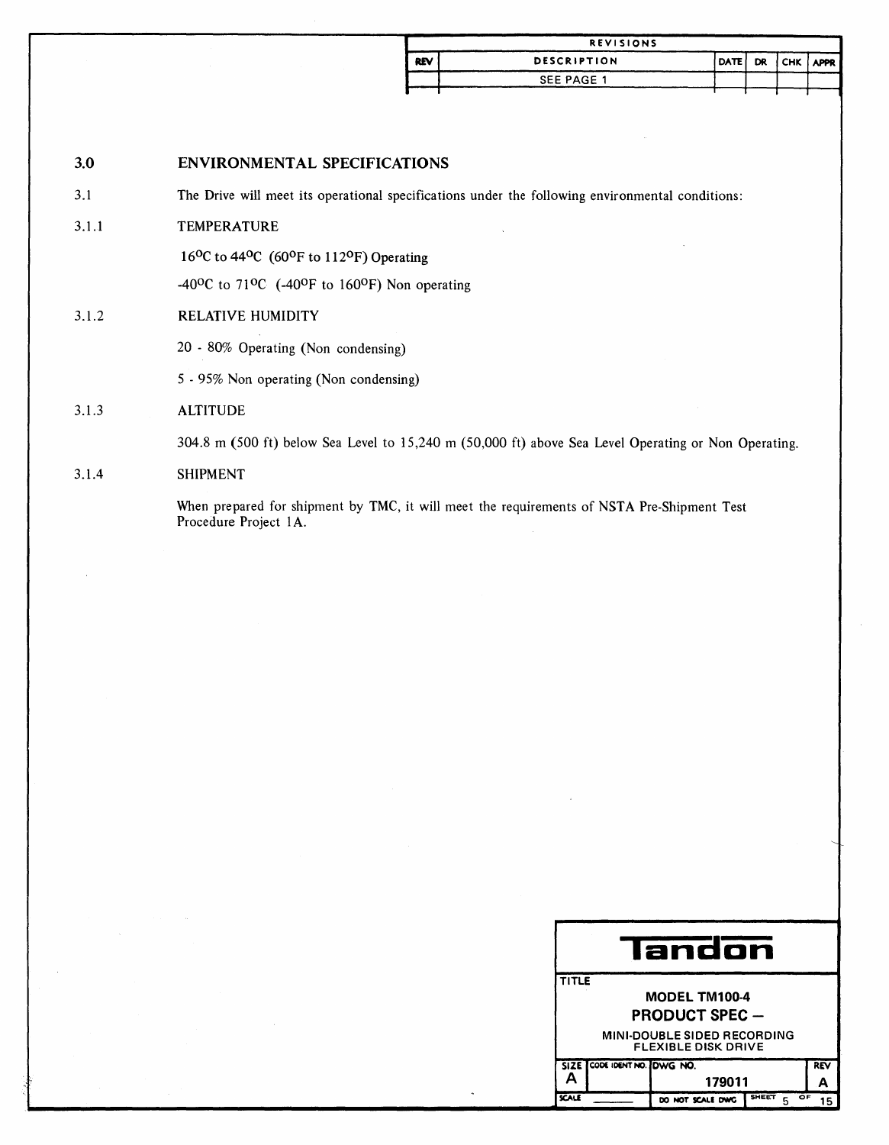| <b>REVISIONS</b> |                    |                  |  |  |  |  |  |
|------------------|--------------------|------------------|--|--|--|--|--|
| <b>REV</b>       | <b>DESCRIPTION</b> | DATE DR CHK APPR |  |  |  |  |  |
|                  | SEE PAGE 1         |                  |  |  |  |  |  |
|                  |                    |                  |  |  |  |  |  |

### 3.0 ENVIRONMENTAL SPECIFICATIONS

3.1 The Drive will meet its operational specifications under the following environmental conditions:

### 3.1.1 TEMPERATURE

16<sup>o</sup>C to 44<sup>o</sup>C (60<sup>o</sup>F to 112<sup>o</sup>F) Operating

-40 $^{\circ}$ C to 71 $^{\circ}$ C (-40 $^{\circ}$ F to 160 $^{\circ}$ F) Non operating

### 3.1.2 RELATIVE HUMIDITY

20 - 80% Operating (Non condensing)

5 - 95% Non operating (Non condensing)

### 3.1.3 **ALTITUDE**

304.8 m (500 ft) below Sea Level to 15,240 m (50,000 ft) above Sea Level Operating or Non Operating.

### 3.1.4 SHIPMENT

When prepared for shipment by TMC, it will meet the requirements of NSTA Pre-Shipment Test Procedure Project 1A.

|       | landon                                                                                                                            |                  |                         |    |  |  |
|-------|-----------------------------------------------------------------------------------------------------------------------------------|------------------|-------------------------|----|--|--|
|       | <b>TITLE</b><br><b>MODEL TM100-4</b><br><b>PRODUCT SPEC —</b><br><b>MINI-DOUBLE SIDED RECORDING</b><br><b>FLEXIBLE DISK DRIVE</b> |                  |                         |    |  |  |
| А     | SIZE CODE IDENT NO. DWG NO.                                                                                                       | 179011           | <b>REV</b>              |    |  |  |
| SCALE |                                                                                                                                   | DO NOT SCALE DWG | <b>SHEET</b><br>OF<br>5 | 15 |  |  |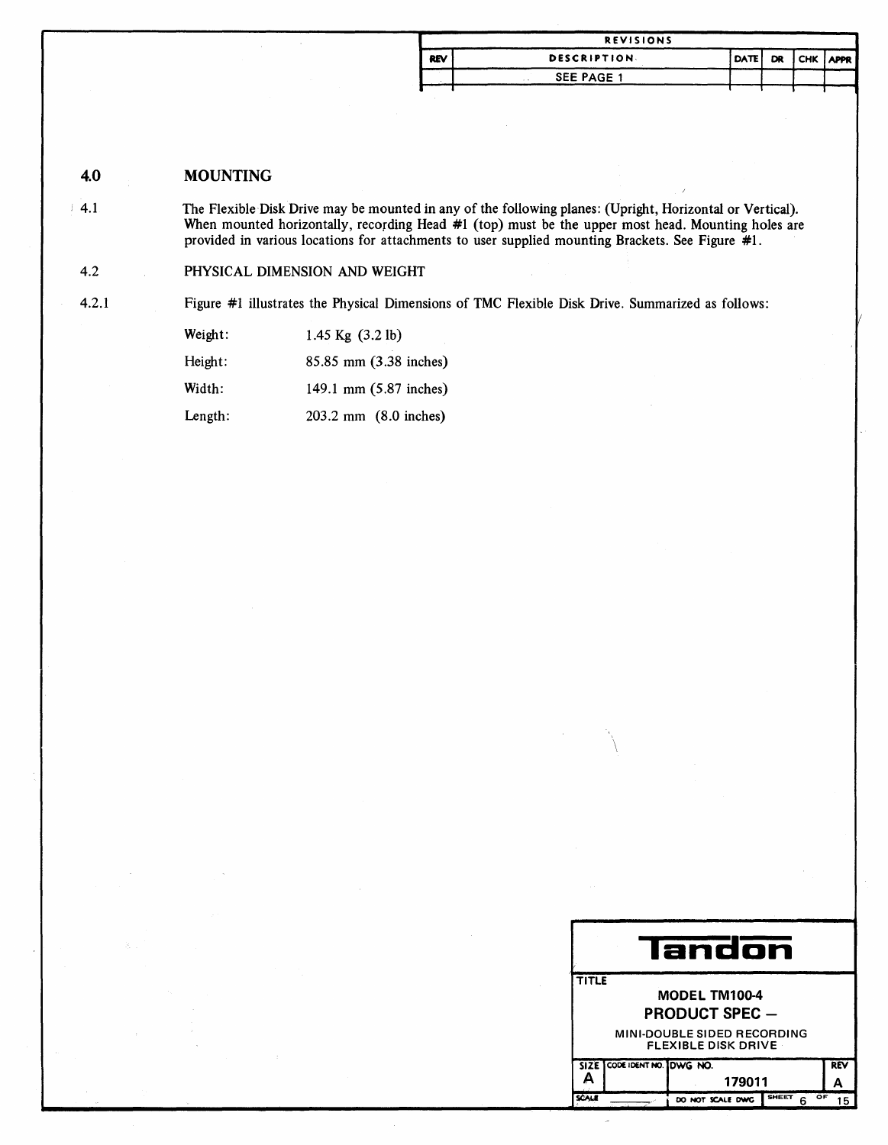|            | <b>REVISIONS</b>   |             |  |             |
|------------|--------------------|-------------|--|-------------|
| <b>REV</b> | <b>DESCRIPTION</b> | <b>DATE</b> |  | DR CHK APPR |
|            | SEE PAGE 1         |             |  |             |
|            |                    |             |  |             |

4.0 **MOUNTING** 

> The Flexible Disk Drive may be mounted in any of the following planes: (Upright, Horizontal or Vertical). When mounted horizontally, recording Head #1 (top) must be the upper most head. Mounting holes are provided in various locations for attachments to user supplied mounting Brackets. See Figure #1.

PHYSICAL DIMENSION AND WEIGHT  $4.2$ 

 $4.2.1$ 

 $4.1$ 

Figure #1 illustrates the Physical Dimensions of TMC Flexible Disk Drive. Summarized as follows:

| Weight: | 1.45 $Kg$ (3.2 lb)     |
|---------|------------------------|
| Height: | 85.85 mm (3.38 inches) |
| Width:  | 149.1 mm (5.87 inches) |
| Length: | 203.2 mm (8.0 inches)  |

| landon                                                    |                                             |            |  |  |  |
|-----------------------------------------------------------|---------------------------------------------|------------|--|--|--|
| <b>TITLE</b>                                              |                                             |            |  |  |  |
|                                                           | <b>MODEL TM100-4</b>                        |            |  |  |  |
|                                                           | <b>PRODUCT SPEC -</b>                       |            |  |  |  |
| MINI-DOUBLE SIDED RECORDING<br><b>FLEXIBLE DISK DRIVE</b> |                                             |            |  |  |  |
|                                                           | SIZE CODE IDENT NO. DWG NO.                 | <b>REV</b> |  |  |  |
|                                                           | 179011                                      |            |  |  |  |
|                                                           | <b>SHEET</b><br>OF<br>DO NOT SCALE DWG<br>հ | 15         |  |  |  |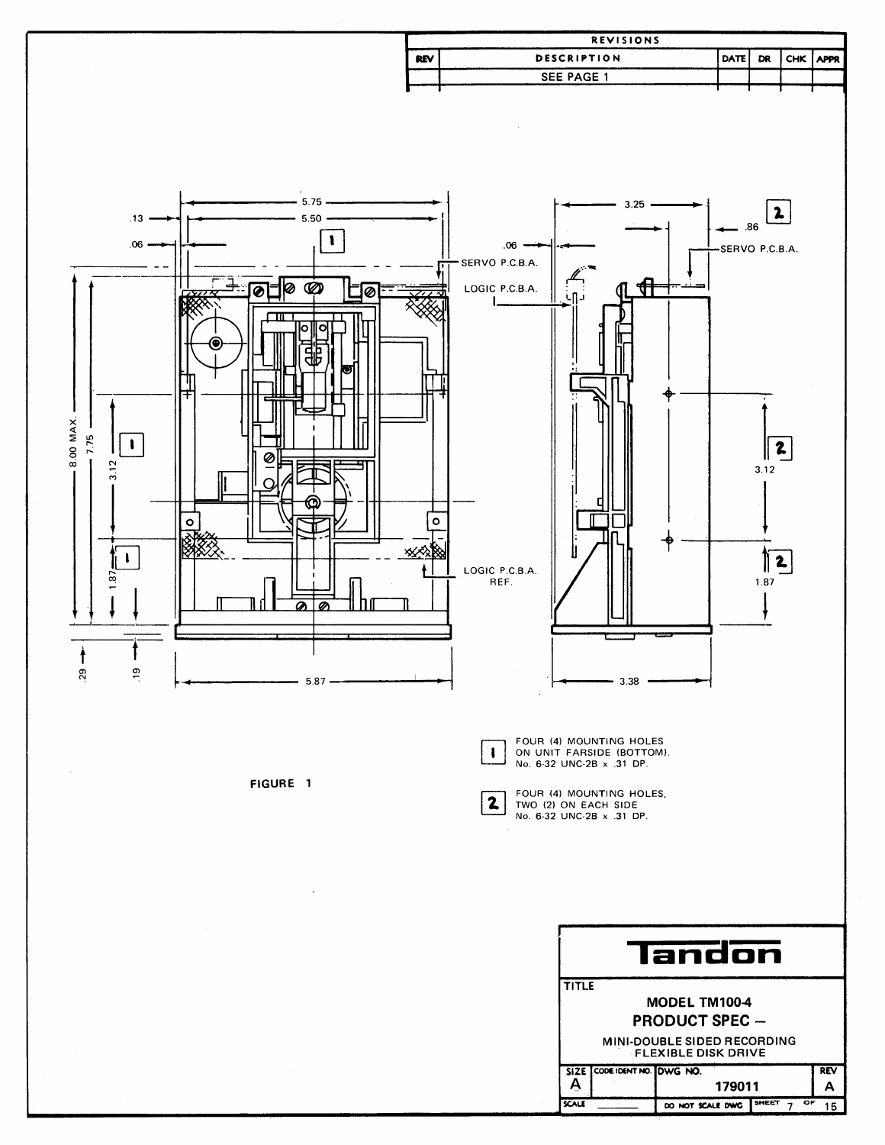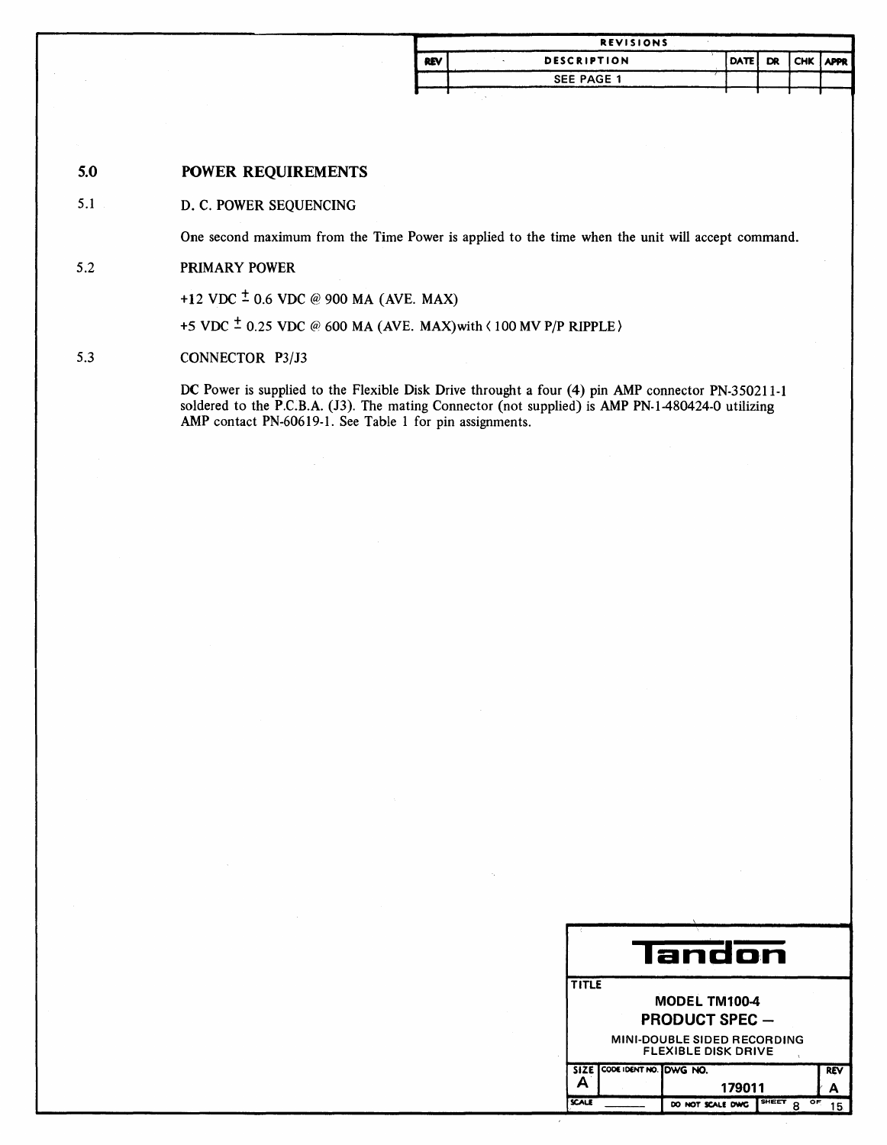|            | <b>REVISIONS</b>   |  |                  |  |
|------------|--------------------|--|------------------|--|
| <b>REV</b> | <b>DESCRIPTION</b> |  | DATE DR CHK APPR |  |
|            | <b>SEE PAGE 1</b>  |  |                  |  |
|            |                    |  |                  |  |

### 5.0 POWER REQUIREMENTS

### 5.1 D. C. POWER SEQUENCING

One second maximum from the Time Power is applied to the time when the unit will accept command.

### 5.2 PRIMARY POWER

+12 VDC  $\pm$  0.6 VDC @ 900 MA (AVE. MAX)

+5 VDC  $\pm$  0.25 VDC @ 600 MA (AVE. MAX) with  $\langle$  100 MV P/P RIPPLE)

### 5.3 CONNECTOR P3/J3

DC Power is supplied to the Flexible Disk Drive throught a four (4) pin AMP connector PN-350211-1 soldered to the P.C.B.A. (J3). The mating Connector (not supplied) is AMP PN-1-480424-0 utilizing AMP contact PN-60619-1. See Table 1 for pin assignments.

|              |                             | landon                                                           |             |     |  |
|--------------|-----------------------------|------------------------------------------------------------------|-------------|-----|--|
| <b>TITLE</b> |                             |                                                                  |             |     |  |
|              |                             | MODEL TM100-4                                                    |             |     |  |
|              |                             | <b>PRODUCT SPEC —</b>                                            |             |     |  |
|              |                             | <b>MINI-DOUBLE SIDED RECORDING</b><br><b>FLEXIBLE DISK DRIVE</b> |             |     |  |
|              | SIZE CODE IDENT NO. DWG NO. |                                                                  |             | REV |  |
|              | Δ<br>179011                 |                                                                  |             |     |  |
| <b>SCALE</b> |                             | DO NOT SCALE DWG                                                 | SHEET<br>OF | 15  |  |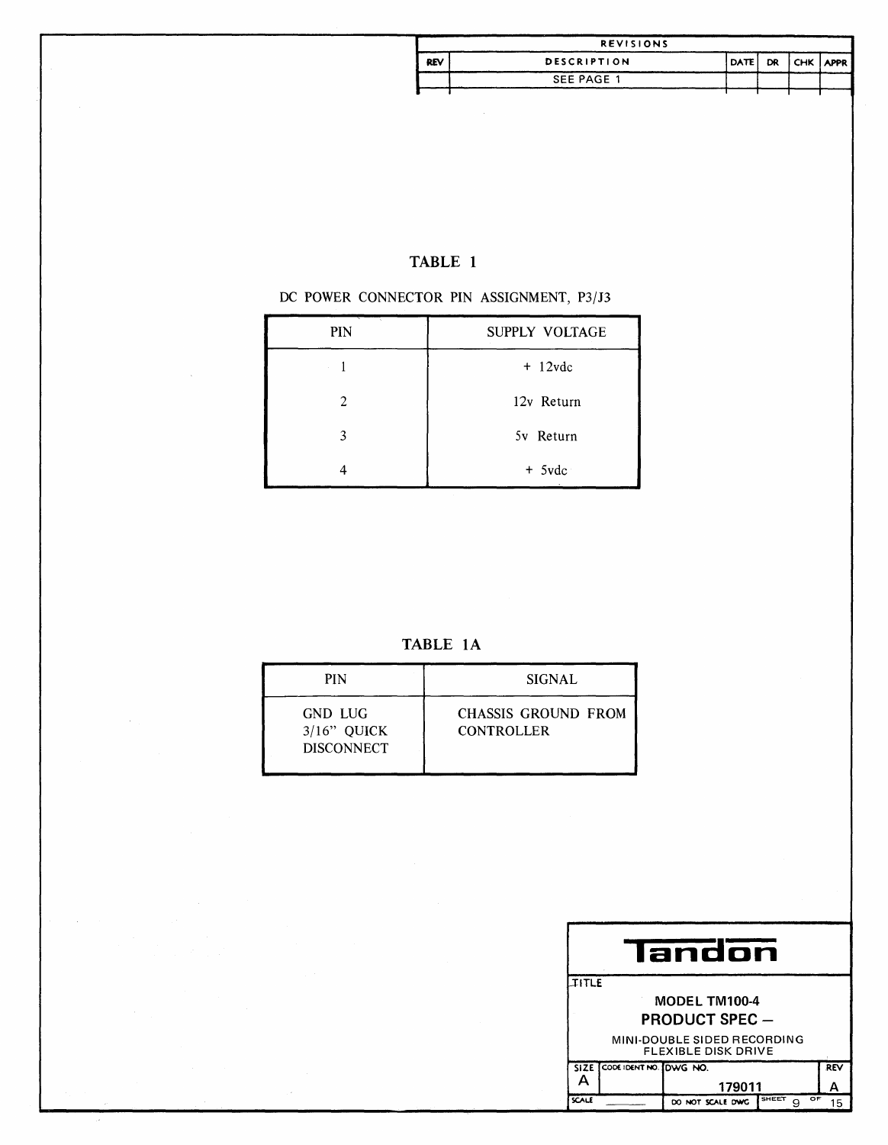|            | <b>REVISIONS</b>   |             |    |                 |  |
|------------|--------------------|-------------|----|-----------------|--|
| <b>REV</b> | <b>DESCRIPTION</b> | <b>DATE</b> | DR | <b>CHK APPR</b> |  |
|            | SEE PAGE 1         |             |    |                 |  |
|            |                    |             |    |                 |  |

## TABLE 1

### DC POWER CONNECTOR PIN ASSIGNMENT, P3/J3

| PIN | SUPPLY VOLTAGE |
|-----|----------------|
|     | $+ 12$ vdc     |
| 2   | 12v Return     |
| 3   | 5v Return      |
|     | $+$ 5vdc       |

TABLE 1A

| <b>PIN</b>                                     | <b>SIGNAL</b>                            |
|------------------------------------------------|------------------------------------------|
| GND LUG<br>$3/16$ " OUICK<br><b>DISCONNECT</b> | CHASSIS GROUND FROM<br><b>CONTROLLER</b> |

|                             | landon                                                    |                       |                  |            |  |  |  |  |
|-----------------------------|-----------------------------------------------------------|-----------------------|------------------|------------|--|--|--|--|
| <b>IITLE</b>                |                                                           |                       |                  |            |  |  |  |  |
|                             |                                                           | MODEL TM100-4         |                  |            |  |  |  |  |
|                             |                                                           | <b>PRODUCT SPEC -</b> |                  |            |  |  |  |  |
|                             | MINI-DOUBLE SIDED RECORDING<br><b>FLEXIBLE DISK DRIVE</b> |                       |                  |            |  |  |  |  |
| SIZE CODE IDENT NO. DWG NO. |                                                           |                       |                  | <b>REV</b> |  |  |  |  |
| 179011                      |                                                           |                       |                  |            |  |  |  |  |
| <b>SCALE</b>                |                                                           | DO NOT SCALE DWG      | SHEET<br>OF<br>g | 15         |  |  |  |  |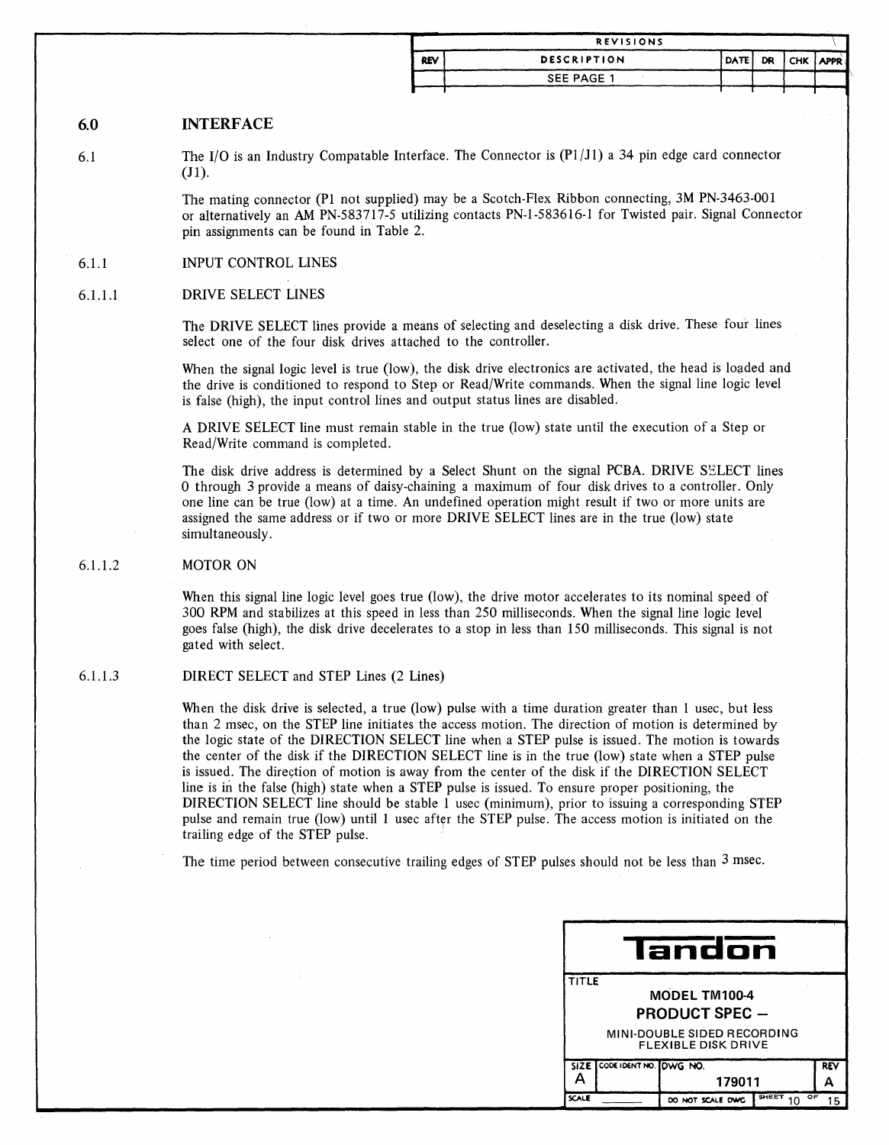|            | <b>REVISIONS</b>   |          |           |          |  |
|------------|--------------------|----------|-----------|----------|--|
| <b>REV</b> | <b>DESCRIPTION</b> | I DATE I | <b>DR</b> | CHK APPR |  |
|            | SEE PAGE 1         |          |           |          |  |
|            |                    |          |           |          |  |

### 6.0 INTERFACE

6.1

The  $I/O$  is an Industry Compatable Interface. The Connector is  $(P1/J1)$  a 34 pin edge card connector (J1).

The mating connector (PI not supplied) may be a Scotch-Flex Ribbon connecting, 3M PN-3463-001 or alternatively an AM PN-583717-5 utilizing contacts PN-I-583616-1 for Twisted pair. Signal Connector pin assignments can be found in Table 2.

### 6.1.1 INPUT CONTROL LINES

### 6.1.1.1 DRIVE SELECT LINES

The DRIVE SELECT lines provide a means of selecting and deselecting a disk drive. These four lines select one of the four disk drives attached to the controller.

When the signal logic level is true (low), the disk drive electronics are activated, the head is loaded and the drive is conditioned to respond to Step or Read/Write commands. When the signal line logic level is false (high), the input control lines and output status lines are disabled.

A DRIVE SELECT line must remain stable in the true (low) state until the execution of a Step or Read/Write command is completed.

The disk drive address is determined by a Select Shunt on the signal PCBA. DRIVE SELECT lines o through 3 provide a means of daisy-chaining a maximum of four disk drives to a controller. Only one line can be true (low) at a time. An undefined operation might result if two or more units are assigned the same address or if two or more DRIVE SELECT lines are in the true (low) state simultaneously.

### 6.1.1.2 MOTOR ON

When this signal line logic level goes true (low), the drive motor accelerates to its nominal speed of 300 RPM and stabilizes at this speed in less than 250 milliseconds. When the signal line logic level goes false (high), the disk drive decelerates to a stop in less than 150 milliseconds. This signal is not gated with select.

### 6.1.1.3 DIRECT SELECT and STEP Lines (2 Lines)

When the disk drive is selected, a true (low) pulse with a time duration greater than 1 usec, but less than 2 msec, on the STEP line initiates the access motion. The direction of motion is determined by the logic state of the DIRECTION SELECT line when a STEP pulse is issued. The motion is towards the center of the disk if the DIRECTION SELECT line is in the true (low) state when a STEP pulse is issued. The direction of motion is away from the center of the disk if the DIRECTION SELECT line is in the false (high) state when a STEP pulse is issued. To ensure proper positioning, the DIRECTION SELECT line should be stable 1 usec (minimum), prior to issuing a corresponding STEP pulse and remain true (low) until 1 usec after the STEP pulse. The access motion is initiated on the trailing edge of the STEP pulse. '

The time period between consecutive trailing edges of STEP pulses should not be less than 3 msec.

| landon                                                    |  |                  |                    |    |  |  |
|-----------------------------------------------------------|--|------------------|--------------------|----|--|--|
| <b>TITLE</b><br>MODEL TM100-4<br><b>PRODUCT SPEC -</b>    |  |                  |                    |    |  |  |
| MINI-DOUBLE SIDED RECORDING<br><b>FLEXIBLE DISK DRIVE</b> |  |                  |                    |    |  |  |
| SIZE CODE IDENT NO. DWG NO.<br>179011                     |  |                  |                    |    |  |  |
| <b>SCALE</b>                                              |  | DO NOT SCALE DWG | <b>SHEET</b><br>OF | 15 |  |  |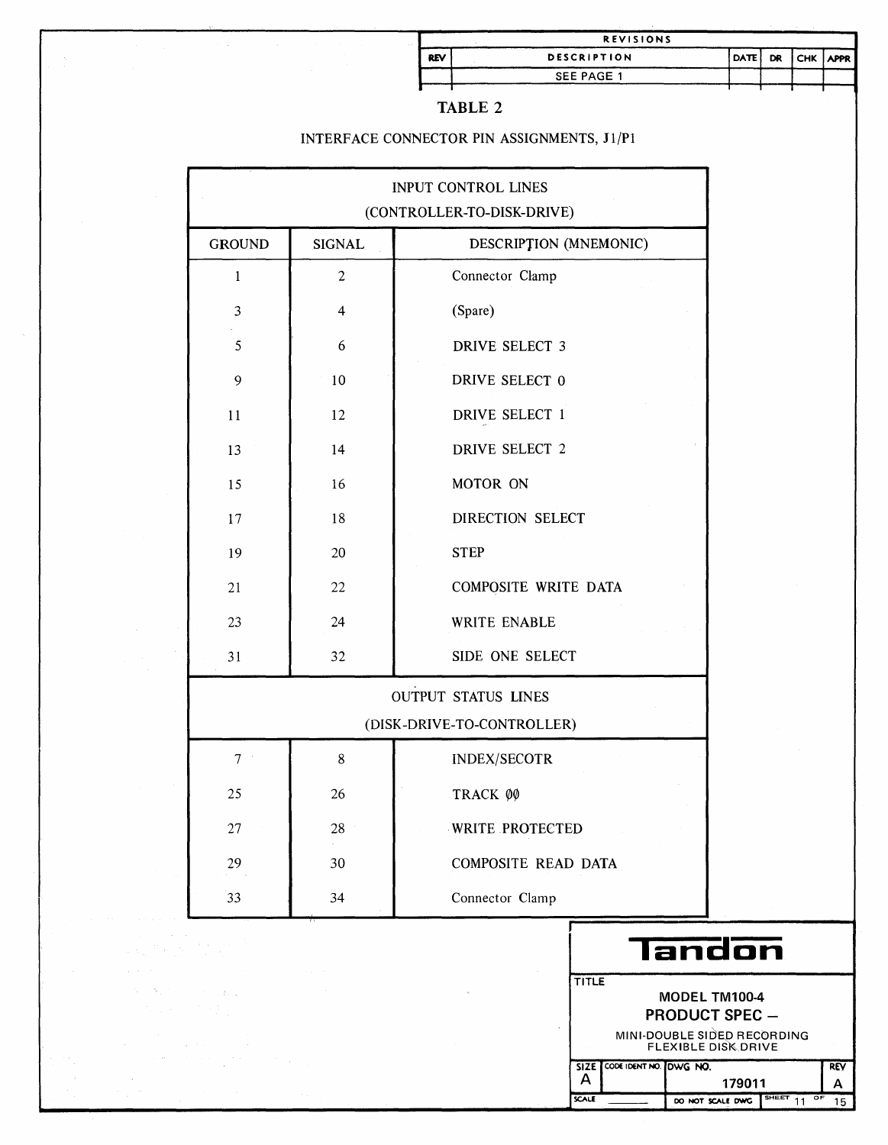|            | <b>REVISIONS</b>   |          |             |  |
|------------|--------------------|----------|-------------|--|
| <b>REV</b> | <b>DESCRIPTION</b> | I DATE I | DR CHK APPR |  |
|            | SEE PAGE 1         |          |             |  |
|            |                    |          |             |  |

|--|--|

### INTERFACE CONNECTOR PIN ASSIGNMENTS, J1/P1

 $\mathcal{A}^{\mathcal{A}}$ 

 $\mathcal{B}_{\rm{L}}$  .

 $\sim 3\%$  .

|                |                | INPUT CONTROL LINES<br>(CONTROLLER-TO-DISK-DRIVE) |
|----------------|----------------|---------------------------------------------------|
| <b>GROUND</b>  | <b>SIGNAL</b>  | DESCRIPTION (MNEMONIC)                            |
| $\mathbf{1}$   | $\overline{2}$ | Connector Clamp                                   |
| 3              | $\overline{4}$ | (Spare)                                           |
| 5              | 6              | <b>DRIVE SELECT 3</b>                             |
| 9              | 10             | DRIVE SELECT 0                                    |
| 11             | 12             | DRIVE SELECT 1                                    |
| 13             | 14             | <b>DRIVE SELECT 2</b>                             |
| 15             | 16             | MOTOR ON                                          |
| 17             | 18             | DIRECTION SELECT                                  |
| 19             | 20             | <b>STEP</b>                                       |
| 21             | 22             | COMPOSITE WRITE DATA                              |
| 23             | 24             | WRITE ENABLE                                      |
| 31             | 32             | SIDE ONE SELECT                                   |
|                |                | OUTPUT STATUS LINES                               |
|                |                | (DISK-DRIVE-TO-CONTROLLER)                        |
| 7 <sup>1</sup> | 8              | <b>INDEX/SECOTR</b>                               |
| 25             | 26             | TRACK ØØ                                          |
| $27\,$         | 28             | WRITE PROTECTED                                   |
| 29             | 30             | COMPOSITE READ DATA                               |
| 33             | 34             | Connector Clamp                                   |

| <b>ITITLE</b> |                                                           |
|---------------|-----------------------------------------------------------|
|               | <b>MODEL TM100-4</b>                                      |
|               | <b>PRODUCT SPEC -</b>                                     |
|               | MINI-DOUBLE SIDED RECORDING<br><b>FLEXIBLE DISK DRIVE</b> |

|              | SIZE CODE IDENT NO. DWG NO. |                              | <b>REV</b> |
|--------------|-----------------------------|------------------------------|------------|
| $\mathsf{A}$ |                             | 179011                       |            |
| CALE         |                             | DO NOT SCALE DWG SHEET 11 OF | 15         |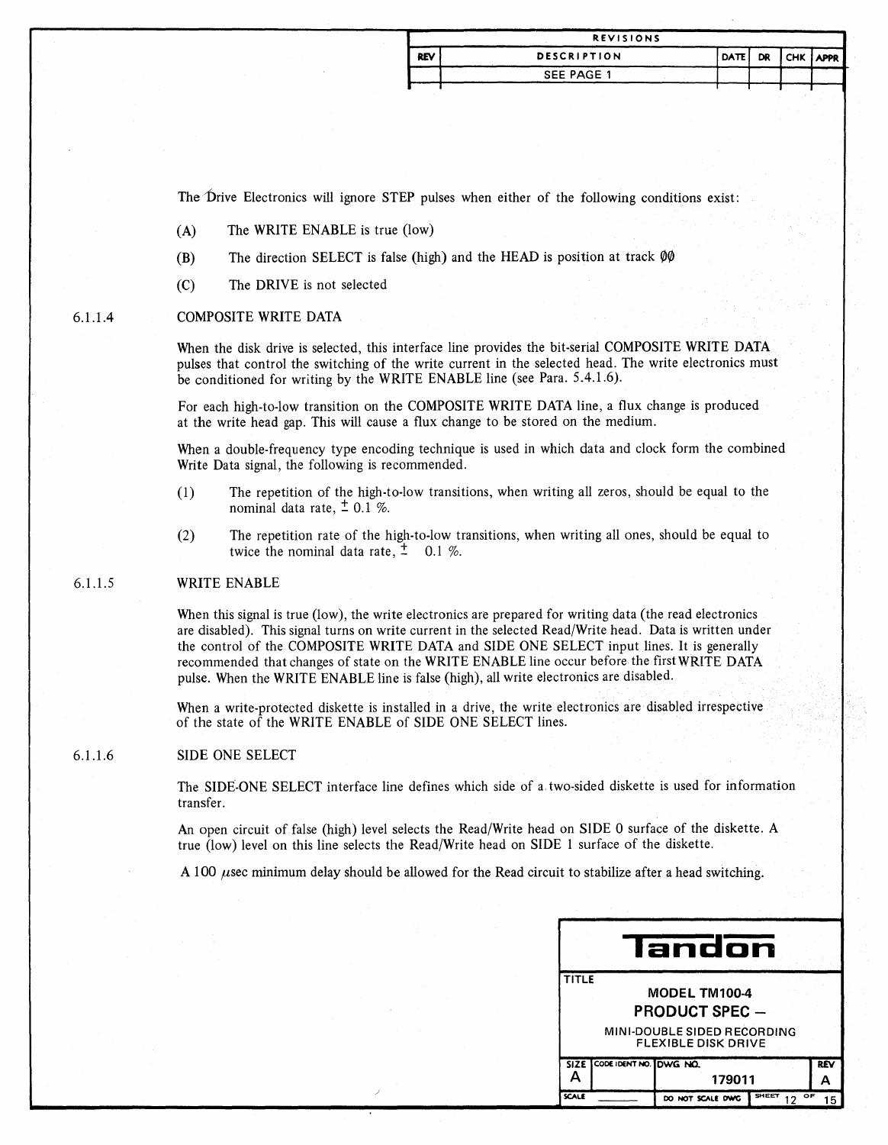|            | <b>REVISIONS</b>   |                  |  |  |
|------------|--------------------|------------------|--|--|
| <b>REV</b> | <b>DESCRIPTION</b> | DATE DR CHK APPR |  |  |
|            | SEE PAGE 1         |                  |  |  |
|            |                    |                  |  |  |

The Drive Electronics will ignore STEP pulses when either of the following conditions exist:

- (A) The WRITE ENABLE is true (low)
- (B) The direction SELECT is false (high) and the HEAD is position at track  $\varphi\varphi$
- (C) The DRIVE is not selected

#### 6.1.1.4 COMPOSITE WRITE DATA

When the disk drive is selected, this interface line provides the bit-serial COMPOSITE WRITE DATA pulses that control the switching of the write current in the selected head. The write electronics must be conditioned for writing by the WRITE ENABLE line (see Para. 5.4.1.6).

For each high-to-Iow transition on the COMPOSITE WRITE DATA line, a flux change is produced at the write head gap. This will cause a flux change to be stored on the medium.

When a double-frequency type encoding technique is used in which data and clock form the combined Write Data signal, the following is recommended.

- (1) The repetition of the high-to-Iow transitions, when writing all zeros, should be equal to the nominal data rate,  $\pm$  0.1 %.
- (2) The repetition rate of the high-to-Iow transitions, when writing all ones, should be equal to twice the nominal data rate,  $\frac{1}{4}$  0.1 %.

### WRITE ENABLE

When this signal is true (low), the write electronics are prepared for writing data (the read electronics are disabled). This signal turns on write current in the selected Read/Write head. Data is written under the control of the COMPOSITE WRITE DATA and SIDE ONE SELECT input lines. It is generally recommended that changes of state on the WRITE ENABLE line occur before the first WRITE DATA pulse. When the WRITE ENABLE line is false (high), all write electronics are disabled.

When a write-protected diskette is installed in a drive, the write electronics are disabled irrespective of the state of the WRITE ENABLE of SIDE ONE SELECT lines.

### 6.1.1.6 SIDE ONE SELECT

The SIDE-ONE SELECT interface line defines which side of a. two-sided diskette is used for information transfer.

An open circuit of false (high) level selects the Read/Write head on SIDE 0 surface of the diskette. A true (low) level on this line selects the Read/Write head on SIDE 1 surface of the diskette.

A 100 *usec minimum delay should be allowed for the Read circuit to stabilize after a head switching.* 

|       |                                                        | landon                                                    |            |  |  |  |
|-------|--------------------------------------------------------|-----------------------------------------------------------|------------|--|--|--|
|       | <b>TITLE</b><br>MODEL TM100-4<br><b>PRODUCT SPEC -</b> |                                                           |            |  |  |  |
|       |                                                        | MINI-DOUBLE SIDED RECORDING<br><b>FLEXIBLE DISK DRIVE</b> |            |  |  |  |
|       | SIZE CODE IDENT NO. DWG NO.                            | 179011                                                    | <b>REV</b> |  |  |  |
| SCALE |                                                        | SHEET<br>DO NOT SCALE DWG                                 | ОF         |  |  |  |

6.1.1.5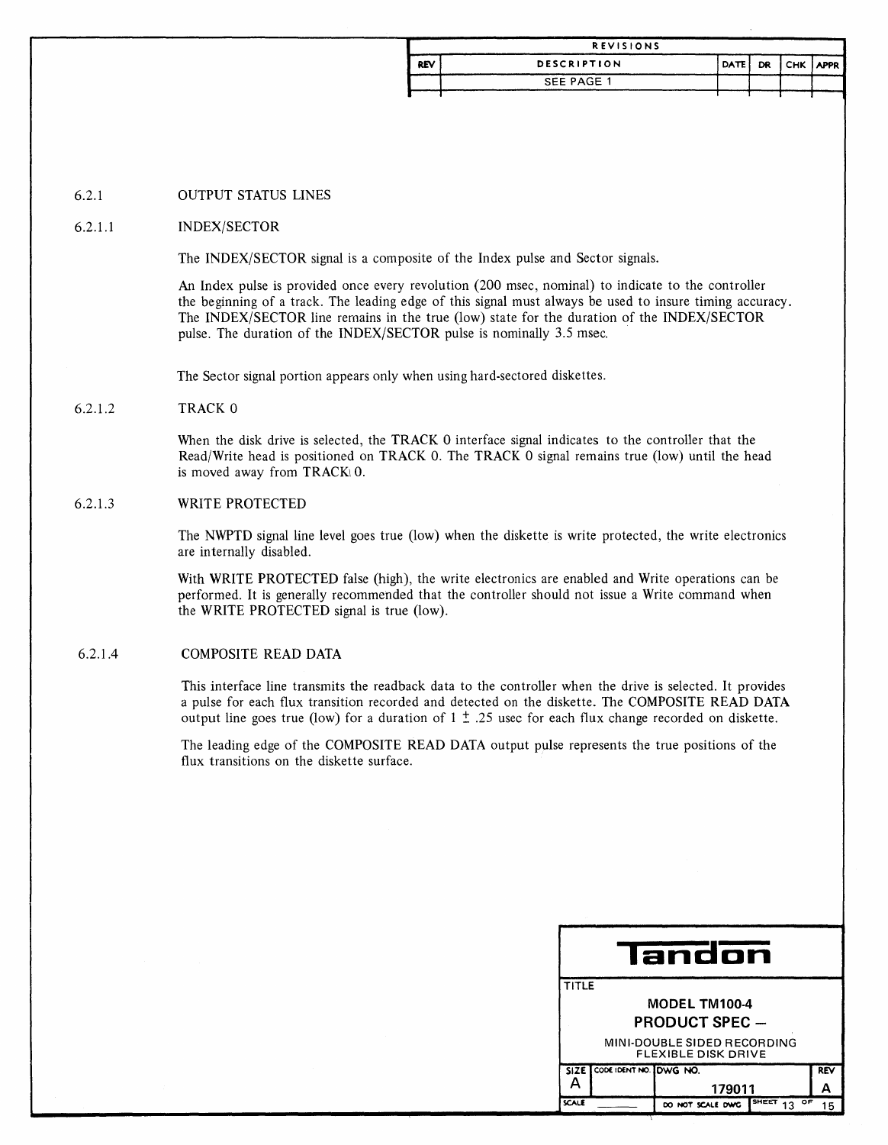| <b>REVISIONS</b> |             |                  |  |  |  |
|------------------|-------------|------------------|--|--|--|
| <b>REV</b>       | DESCRIPTION | DATE DR CHK APPR |  |  |  |
|                  | SEE PAGE 1  |                  |  |  |  |

### 6.2.1 OUTPUT STATUS LINES

### 6.2.1.1 INDEX/SECTOR

The INDEX/SECTOR signal is a composite of the Index pulse and Sector signals.

An Index pulse is provided once every revolution (200 msec, nominal) to indicate to the controller the beginning of a track. The leading edge of this signal must always be used to insure timing accuracy. The INDEX/SECTOR line remains in the true (low) state for the duration of the INDEX/SECTOR pulse. The duration of the INDEX/SECTOR pulse is nominally 3.5 msec.

The Sector signal portion appears only when using hard-sectored diskettes.

### 6.2.1.2 TRACK 0

When the disk drive is selected, the TRACK 0 interface signal indicates to the controller that the Read/Write head is positioned on TRACK O. The TRACK 0 signal remains true (low) until the head is moved away from  $TRACK \cup 0$ .

### 6.2.1.3 WRITE PROTECTED

The NWPTD signal line level goes true (low) when the diskette is write protected, the write electronics are internally disabled.

With WRITE PROTECTED false (high), the write electronics are enabled and Write operations can be performed. It is generally recommended that the controller should not issue a Write command when the WRITE PROTECTED signal is true (low).

### 6.2.1.4 COMPOSITE READ DATA

This interface line transmits the readback data to the controller when the drive is selected. It provides a pulse for each flux transition recorded and detected on the diskette. The COMPOSITE READ DATA output line goes true (low) for a duration of  $1 \pm .25$  usec for each flux change recorded on diskette.

The leading edge of the COMPOSITE READ DATA output pulse represents the true positions of the flux transitions on the diskette surface.

| landon |                                                           |                  |             |            |  |  |
|--------|-----------------------------------------------------------|------------------|-------------|------------|--|--|
|        | <b>TITLE</b>                                              |                  |             |            |  |  |
|        | <b>MODEL TM100-4</b>                                      |                  |             |            |  |  |
|        | <b>PRODUCT SPEC -</b>                                     |                  |             |            |  |  |
|        | MINI-DOUBLE SIDED RECORDING<br><b>FLEXIBLE DISK DRIVE</b> |                  |             |            |  |  |
|        | SIZE CODE IDENT NO. DWG NO.                               |                  |             | <b>REV</b> |  |  |
| Δ      |                                                           | 179011           |             |            |  |  |
| SCALE  |                                                           | DO NOT SCALE DWG | SHEET<br>оF | 15         |  |  |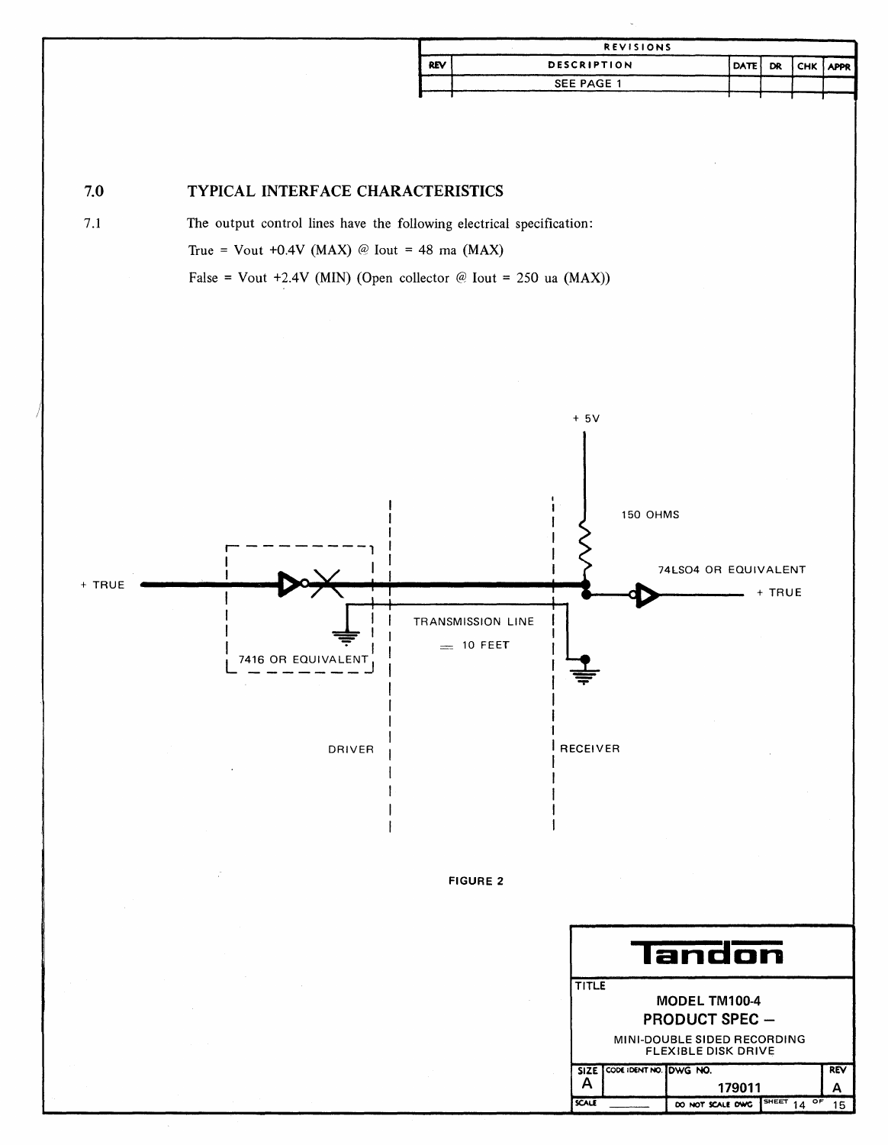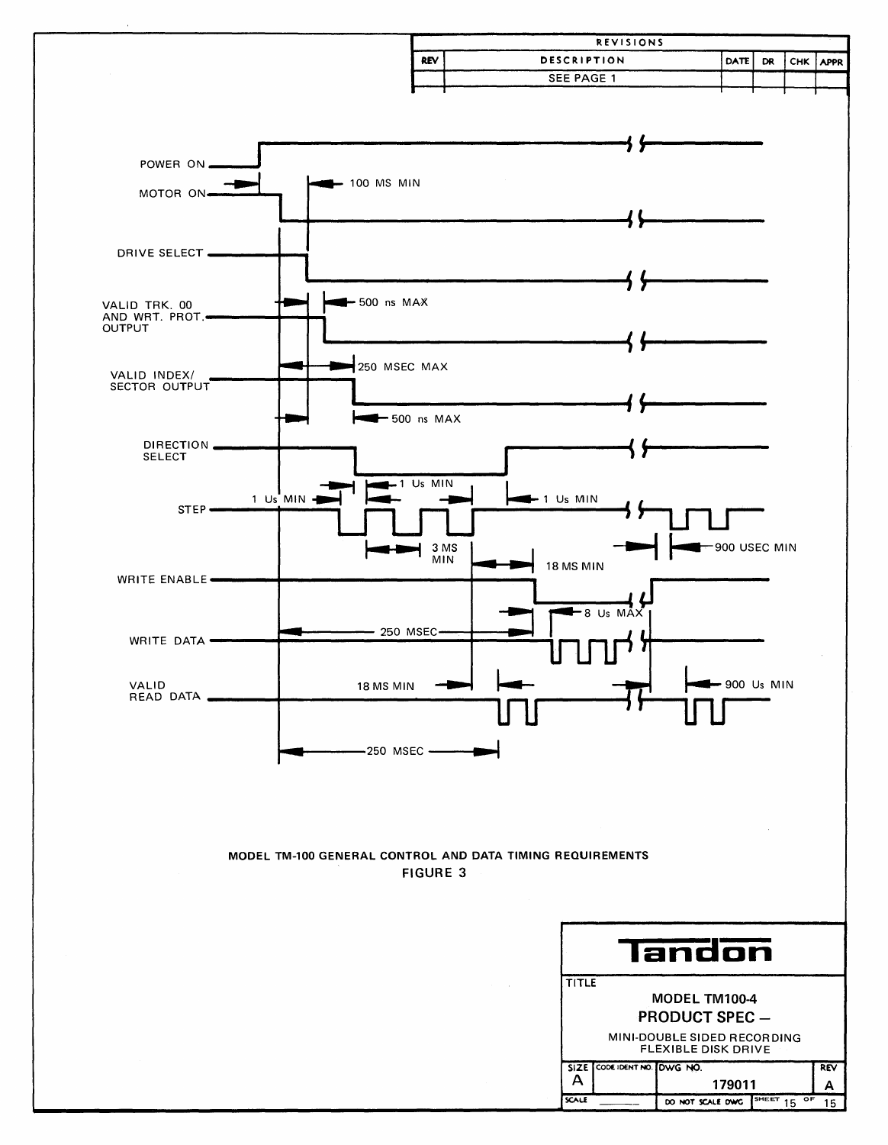